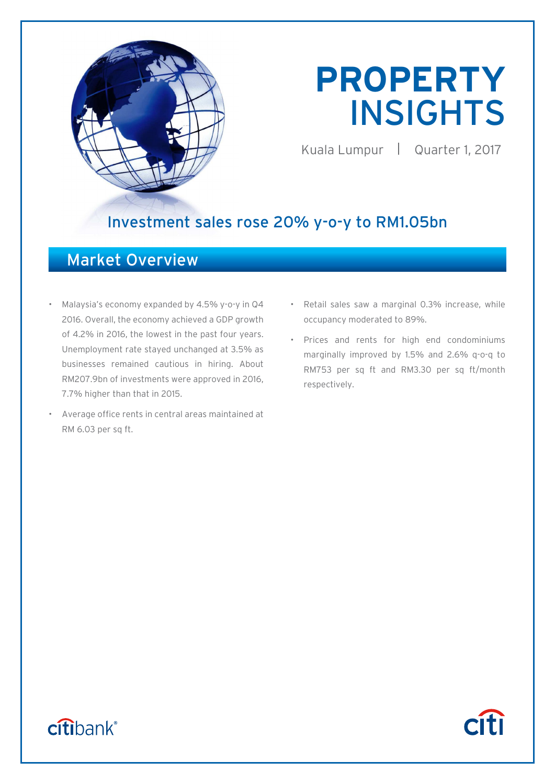

# **PROPERTY**  INSIGHTS

Kuala Lumpur | Quarter 1, 2017

**Citi** 

# Investment sales rose 20% y-o-y to RM1.05bn

# Market Overview

- Malaysia's economy expanded by 4.5% y-o-y in Q4 2016. Overall, the economy achieved a GDP growth of 4.2% in 2016, the lowest in the past four years. Unemployment rate stayed unchanged at 3.5% as businesses remained cautious in hiring. About RM207.9bn of investments were approved in 2016, 7.7% higher than that in 2015.
- Average office rents in central areas maintained at RM 6.03 per sq ft.
- Retail sales saw a marginal 0.3% increase, while occupancy moderated to 89%.
- Prices and rents for high end condominiums marginally improved by 1.5% and 2.6% q-o-q to RM753 per sq ft and RM3.30 per sq ft/month respectively.

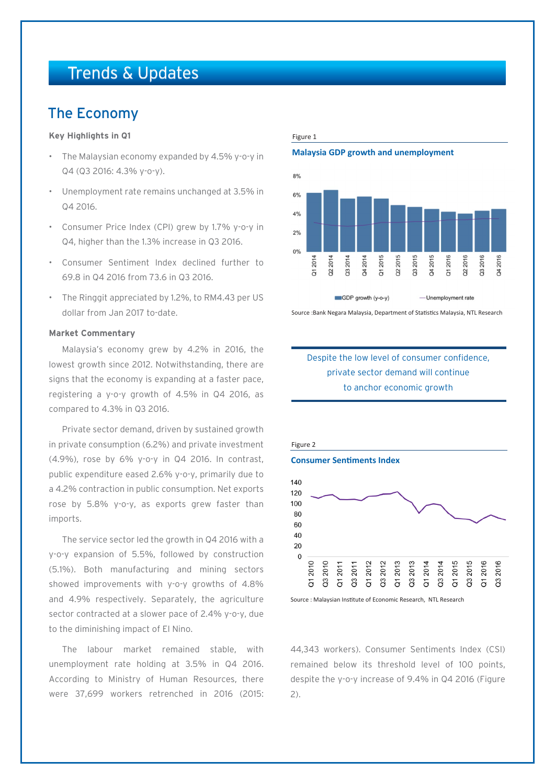# Trends & Updates

### The Economy

### **Key Highlights in Q1**

- The Malaysian economy expanded by 4.5% y-o-y in Q4 (Q3 2016: 4.3% y-o-y).
- Unemployment rate remains unchanged at 3.5% in Q4 2016.
- Consumer Price Index (CPI) grew by 1.7% y-o-y in Q4, higher than the 1.3% increase in Q3 2016.
- Consumer Sentiment Index declined further to 69.8 in Q4 2016 from 73.6 in Q3 2016.
- The Ringgit appreciated by 1.2%, to RM4.43 per US dollar from Jan 2017 to-date.

### **Market Commentary**

Malaysia's economy grew by 4.2% in 2016, the lowest growth since 2012. Notwithstanding, there are signs that the economy is expanding at a faster pace, registering a y-o-y growth of 4.5% in Q4 2016, as compared to 4.3% in Q3 2016.

Private sector demand, driven by sustained growth in private consumption (6.2%) and private investment (4.9%), rose by 6% y-o-y in Q4 2016. In contrast, public expenditure eased 2.6% y-o-y, primarily due to a 4.2% contraction in public consumption. Net exports rose by 5.8% y-o-y, as exports grew faster than imports.

The service sector led the growth in Q4 2016 with a y-o-y expansion of 5.5%, followed by construction (5.1%). Both manufacturing and mining sectors showed improvements with y-o-y growths of 4.8% and 4.9% respectively. Separately, the agriculture sector contracted at a slower pace of 2.4% y-o-y, due to the diminishing impact of El Nino.

The labour market remained stable, with unemployment rate holding at 3.5% in Q4 2016. According to Ministry of Human Resources, there were 37,699 workers retrenched in 2016 (2015:

#### Figure 1

### **Malaysia GDP growth and unemployment**



Source :Bank Negara Malaysia, Department of Statistics Malaysia, NTL Research

### Despite the low level of consumer confidence, private sector demand will continue to anchor economic growth



Source : Malaysian Institute of Economic Research, NTL Research

44,343 workers). Consumer Sentiments Index (CSI) remained below its threshold level of 100 points, despite the y-o-y increase of 9.4% in Q4 2016 (Figure 2).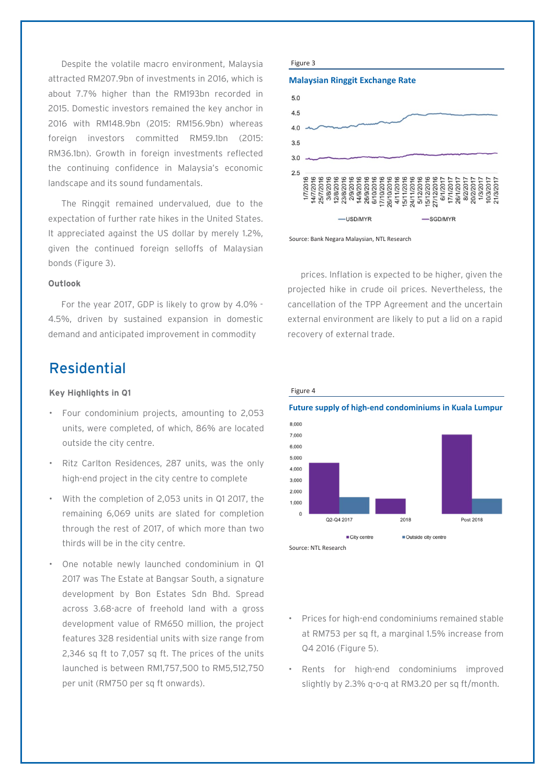Despite the volatile macro environment, Malaysia attracted RM207.9bn of investments in 2016, which is about 7.7% higher than the RM193bn recorded in 2015. Domestic investors remained the key anchor in 2016 with RM148.9bn (2015: RM156.9bn) whereas foreign investors committed RM59.1bn (2015: RM36.1bn). Growth in foreign investments reflected the continuing confidence in Malaysia's economic landscape and its sound fundamentals.

The Ringgit remained undervalued, due to the expectation of further rate hikes in the United States. It appreciated against the US dollar by merely 1.2%, given the continued foreign selloffs of Malaysian bonds (Figure 3).

### **Outlook**

For the year 2017, GDP is likely to grow by 4.0% - 4.5%, driven by sustained expansion in domestic demand and anticipated improvement in commodity

### Residential

### **Key Highlights in Q1**

- Four condominium projects, amounting to 2,053 units, were completed, of which, 86% are located outside the city centre.
- Ritz Carlton Residences, 287 units, was the only high-end project in the city centre to complete
- With the completion of 2,053 units in Q1 2017, the remaining 6,069 units are slated for completion through the rest of 2017, of which more than two thirds will be in the city centre.
- One notable newly launched condominium in Q1 2017 was The Estate at Bangsar South, a signature development by Bon Estates Sdn Bhd. Spread across 3.68-acre of freehold land with a gross development value of RM650 million, the project features 328 residential units with size range from 2,346 sq ft to 7,057 sq ft. The prices of the units launched is between RM1,757,500 to RM5,512,750 per unit (RM750 per sq ft onwards).

#### Figure 3

Figure 4







prices. Inflation is expected to be higher, given the projected hike in crude oil prices. Nevertheless, the cancellation of the TPP Agreement and the uncertain external environment are likely to put a lid on a rapid recovery of external trade.



- Prices for high-end condominiums remained stable at RM753 per sq ft, a marginal 1.5% increase from Q4 2016 (Figure 5).
- Rents for high-end condominiums improved slightly by 2.3% q-o-q at RM3.20 per sq ft/month.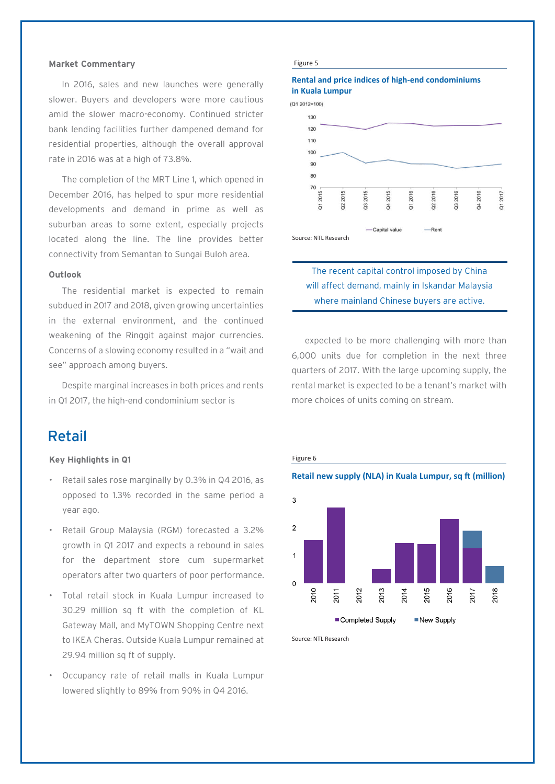### **Market Commentary**

In 2016, sales and new launches were generally slower. Buyers and developers were more cautious amid the slower macro-economy. Continued stricter bank lending facilities further dampened demand for residential properties, although the overall approval rate in 2016 was at a high of 73.8%.

The completion of the MRT Line 1, which opened in December 2016, has helped to spur more residential developments and demand in prime as well as suburban areas to some extent, especially projects located along the line. The line provides better connectivity from Semantan to Sungai Buloh area.

### **Outlook**

The residential market is expected to remain subdued in 2017 and 2018, given growing uncertainties in the external environment, and the continued weakening of the Ringgit against major currencies. Concerns of a slowing economy resulted in a "wait and see" approach among buyers.

Despite marginal increases in both prices and rents in Q1 2017, the high-end condominium sector is

### Retail

### **Key Highlights in Q1**

- Retail sales rose marginally by 0.3% in Q4 2016, as opposed to 1.3% recorded in the same period a year ago.
- Retail Group Malaysia (RGM) forecasted a 3.2% growth in Q1 2017 and expects a rebound in sales for the department store cum supermarket operators after two quarters of poor performance.
- Total retail stock in Kuala Lumpur increased to 30.29 million sq ft with the completion of KL Gateway Mall, and MyTOWN Shopping Centre next to IKEA Cheras. Outside Kuala Lumpur remained at 29.94 million sq ft of supply.
- Occupancy rate of retail malls in Kuala Lumpur lowered slightly to 89% from 90% in Q4 2016.

#### Figure 5

### **Rental and price indices of high-end condominiums in Kuala Lumpur**





### The recent capital control imposed by China will affect demand, mainly in Iskandar Malaysia where mainland Chinese buyers are active.

expected to be more challenging with more than 6,000 units due for completion in the next three quarters of 2017. With the large upcoming supply, the rental market is expected to be a tenant's market with more choices of units coming on stream.



Source: NTL Research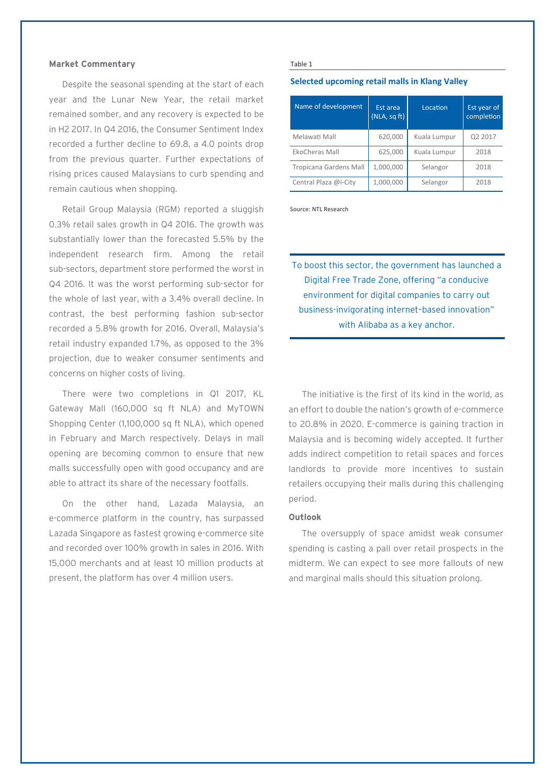### **Market Commentary**

Despite the seasonal spending at the start of each year and the Lunar New Year, the retail market remained somber, and any recovery is expected to be in H2 2017. In Q4 2016, the Consumer Sentiment Index recorded a further decline to 69.8, a 4.0 points drop from the previous quarter. Further expectations of rising prices caused Malaysians to curb spending and remain cautious when shopping.

Retail Group Malaysia (RGM) reported a sluggish 0.3% retail sales growth in Q4 2016. The growth was substantially lower than the forecasted 5.5% by the independent research firm. Among the retail sub-sectors, department store performed the worst in Q4 2016. It was the worst performing sub-sector for the whole of last year, with a 3.4% overall decline. In contrast, the best performing fashion sub-sector recorded a 5.8% growth for 2016. Overall, Malaysia's retail industry expanded 1.7%, as opposed to the 3% projection, due to weaker consumer sentiments and concerns on higher costs of living.

There were two completions in Q1 2017, KL Gateway Mall (160,000 sq ft NLA) and MyTOWN Shopping Center (1,100,000 sq ft NLA), which opened in February and March respectively. Delays in mall opening are becoming common to ensure that new malls successfully open with good occupancy and are able to attract its share of the necessary footfalls.

On the other hand, Lazada Malaysia, an e-commerce platform in the country, has surpassed Lazada Singapore as fastest growing e-commerce site and recorded over 100% growth in sales in 2016. With 15,000 merchants and at least 10 million products at present, the platform has over 4 million users.

#### Table 1

### **Selected upcoming retail malls in Klang Valley**

| Name of development           | Est area<br>(NLA, sqft) | Location     | Est year of<br>completion |
|-------------------------------|-------------------------|--------------|---------------------------|
| Melawati Mall                 | 620,000                 | Kuala Lumpur | Q2 2017                   |
| EkoCheras Mall                | 625,000                 | Kuala Lumpur | 2018                      |
| <b>Tropicana Gardens Mall</b> | 1,000,000               | Selangor     | 2018                      |
| Central Plaza @i-City         | 1,000,000               | Selangor     | 2018                      |

Source: NTL Research

To boost this sector, the government has launched a Digital Free Trade Zone, offering "a conducive environment for digital companies to carry out business-invigorating internet–based innovation" with Alibaba as a key anchor.

The initiative is the first of its kind in the world, as an effort to double the nation's growth of e-commerce to 20.8% in 2020. E-commerce is gaining traction in Malaysia and is becoming widely accepted. It further adds indirect competition to retail spaces and forces landlords to provide more incentives to sustain retailers occupying their malls during this challenging period.

### **Outlook**

The oversupply of space amidst weak consumer spending is casting a pall over retail prospects in the midterm. We can expect to see more fallouts of new and marginal malls should this situation prolong.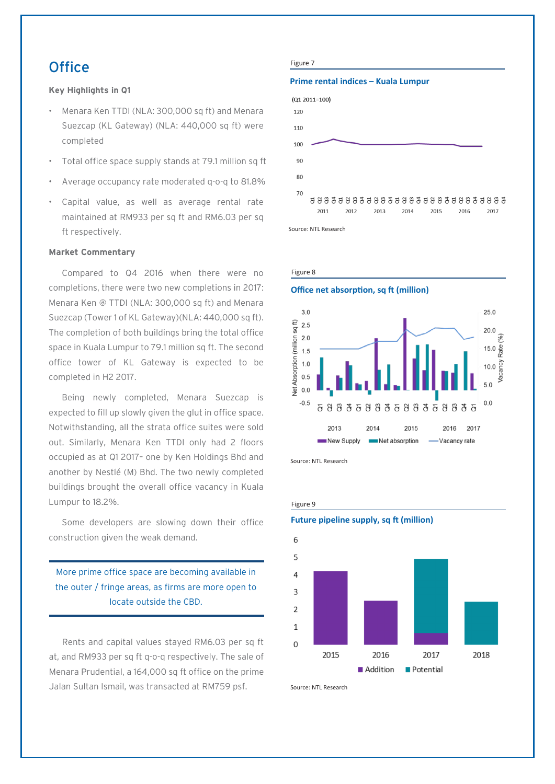## $Office$  Figure 7

### **Key Highlights in Q1**

- Menara Ken TTDI (NLA: 300,000 sq ft) and Menara Suezcap (KL Gateway) (NLA: 440,000 sq ft) were completed
- Total office space supply stands at 79.1 million sq ft
- Average occupancy rate moderated q-o-q to 81.8%
- Capital value, as well as average rental rate maintained at RM933 per sq ft and RM6.03 per sq ft respectively.

### **Market Commentary**

Compared to Q4 2016 when there were no completions, there were two new completions in 2017: Menara Ken @ TTDI (NLA: 300,000 sq ft) and Menara Suezcap (Tower 1 of KL Gateway)(NLA: 440,000 sq ft). The completion of both buildings bring the total office space in Kuala Lumpur to 79.1 million sq ft. The second office tower of KL Gateway is expected to be completed in H2 2017.

Being newly completed, Menara Suezcap is expected to fill up slowly given the glut in office space. Notwithstanding, all the strata office suites were sold out. Similarly, Menara Ken TTDI only had 2 floors occupied as at Q1 2017– one by Ken Holdings Bhd and another by Nestlé (M) Bhd. The two newly completed buildings brought the overall office vacancy in Kuala Lumpur to 18.2%.

Some developers are slowing down their office construction given the weak demand.

### More prime office space are becoming available in the outer / fringe areas, as firms are more open to locate outside the CBD.

Rents and capital values stayed RM6.03 per sq ft at, and RM933 per sq ft q-o-q respectively. The sale of Menara Prudential, a 164,000 sq ft office on the prime Jalan Sultan Ismail, was transacted at RM759 psf.

### **Prime rental indices – Kuala Lumpur**



Source: NTL Research



Source: NTL Research



Source: NTL Research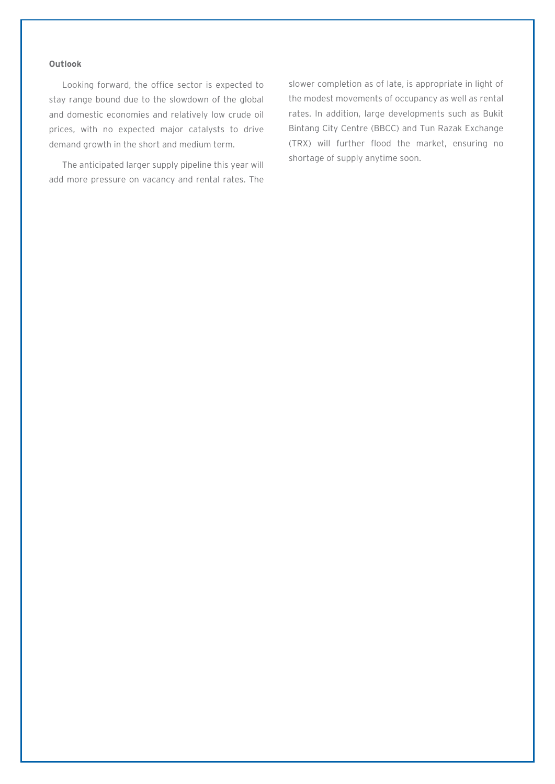### **Outlook**

Looking forward, the office sector is expected to stay range bound due to the slowdown of the global and domestic economies and relatively low crude oil prices, with no expected major catalysts to drive demand growth in the short and medium term.

The anticipated larger supply pipeline this year will add more pressure on vacancy and rental rates. The slower completion as of late, is appropriate in light of the modest movements of occupancy as well as rental rates. In addition, large developments such as Bukit Bintang City Centre (BBCC) and Tun Razak Exchange (TRX) will further flood the market, ensuring no shortage of supply anytime soon.